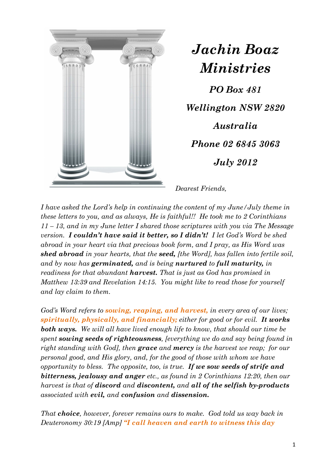

*Jachin Boaz Ministries* 

*PO Box 481 Wellington NSW 2820 Australia Phone 02 6845 3063 July 2012* 

*Dearest Friends,* 

*I have asked the Lord's help in continuing the content of my June/July theme in these letters to you, and as always, He is faithful!! He took me to 2 Corinthians 11 – 13, and in my June letter I shared those scriptures with you via The Message version. I couldn't have said it better, so I didn't! I let God's Word be shed abroad in your heart via that precious book form, and I pray, as His Word was shed abroad in your hearts, that the seed, [the Word], has fallen into fertile soil, and by now has germinated, and is being nurtured to full maturity, in readiness for that abundant harvest. That is just as God has promised in Matthew 13:39 and Revelation 14:15. You might like to read those for yourself and lay claim to them.* 

*God's Word refers to sowing, reaping, and harvest, in every area of our lives; spiritually, physically, and financially; either for good or for evil. It works both ways. We will all have lived enough life to know, that should our time be spent sowing seeds of righteousness, [everything we do and say being found in right standing with God], then grace and mercy is the harvest we reap; for our personal good, and His glory, and, for the good of those with whom we have opportunity to bless. The opposite, too, is true. If we sow seeds of strife and bitterness, jealousy and anger etc., as found in 2 Corinthians 12:20, then our harvest is that of discord and discontent, and all of the selfish by-products associated with evil, and confusion and dissension.*

*That choice, however, forever remains ours to make. God told us way back in Deuteronomy 30:19 [Amp] "I call heaven and earth to witness this day*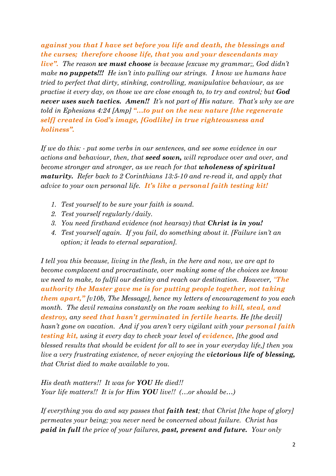*against you that I have set before you life and death, the blessings and the curses; therefore choose life, that you and your descendants may live". The reason we must choose is because [excuse my grammar;, God didn't make no puppets!!! He isn't into pulling our strings. I know we humans have tried to perfect that dirty, stinking, controlling, manipulative behaviour, as we practise it every day, on those we are close enough to, to try and control; but God never uses such tactics. Amen!! It's not part of His nature. That's why we are told in Ephesians 4:24 [Amp] "…to put on the new nature [the regenerate self] created in God's image, [Godlike] in true righteousness and holiness".*

*If we do this: - put some verbs in our sentences, and see some evidence in our actions and behaviour, then, that seed sown, will reproduce over and over, and become stronger and stronger, as we reach for that wholeness of spiritual maturity. Refer back to 2 Corinthians 13:5-10 and re-read it, and apply that advice to your own personal life. It's like a personal faith testing kit!*

- *1. Test yourself to be sure your faith is sound.*
- *2. Test yourself regularly/daily.*
- *3. You need firsthand evidence (not hearsay) that Christ is in you!*
- *4. Test yourself again. If you fail, do something about it. [Failure isn't an option; it leads to eternal separation].*

*I tell you this because, living in the flesh, in the here and now, we are apt to become complacent and procrastinate, over making some of the choices we know we need to make, to fulfil our destiny and reach our destination. However, "The authority the Master gave me is for putting people together, not taking them apart," [v10b, The Message], hence my letters of encouragement to you each month. The devil remains constantly on the roam seeking to kill, steal, and destroy, any seed that hasn't germinated in fertile hearts. He [the devil] hasn't gone on vacation. And if you aren't very vigilant with your personal faith testing kit, using it every day to check your level of evidence, [the good and blessed results that should be evident for all to see in your everyday life,] then you live a very frustrating existence, of never enjoying the victorious life of blessing, that Christ died to make available to you.* 

*His death matters!! It was for YOU He died!! Your life matters!! It is for Him YOU live!! (…or should be…)* 

*If everything you do and say passes that faith test; that Christ [the hope of glory] permeates your being; you never need be concerned about failure. Christ has paid in full the price of your failures, past, present and future. Your only*